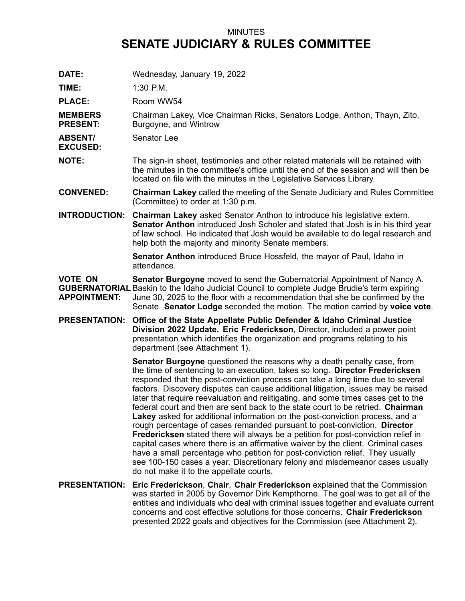## MINUTES **SENATE JUDICIARY & RULES COMMITTEE**

**DATE:** Wednesday, January 19, 2022

**TIME:** 1:30 P.M.

PLACE: Room WW54

**MEMBERS PRESENT:** Chairman Lakey, Vice Chairman Ricks, Senators Lodge, Anthon, Thayn, Zito, Burgoyne, and Wintrow

**ABSENT/** Senator Lee

**EXCUSED:**

**NOTE:** The sign-in sheet, testimonies and other related materials will be retained with the minutes in the committee's office until the end of the session and will then be located on file with the minutes in the Legislative Services Library.

**CONVENED: Chairman Lakey** called the meeting of the Senate Judiciary and Rules Committee (Committee) to order at 1:30 p.m.

**INTRODUCTION: Chairman Lakey** asked Senator Anthon to introduce his legislative extern. **Senator Anthon** introduced Josh Scholer and stated that Josh is in his third year of law school. He indicated that Josh would be available to do legal research and help both the majority and minority Senate members.

> **Senator Anthon** introduced Bruce Hossfeld, the mayor of Paul, Idaho in attendance.

**VOTE ON GUBERNATORIAL** Baskin to the Idaho Judicial Council to complete Judge Brudie's term expiring **APPOINTMENT: Senator Burgoyne** moved to send the Gubernatorial Appointment of Nancy A. June 30, 2025 to the floor with <sup>a</sup> recommendation that she be confirmed by the Senate. **Senator Lodge** seconded the motion. The motion carried by **voice vote**.

**PRESENTATION: Office of the State Appellate Public Defender & Idaho Criminal Justice Division 2022 Update. Eric Frederickson**, Director, included <sup>a</sup> power point presentation which identifies the organization and programs relating to his department (see Attachment 1).

> **Senator Burgoyne** questioned the reasons why <sup>a</sup> death penalty case, from the time of sentencing to an execution, takes so long. **Director Fredericksen** responded that the post-conviction process can take <sup>a</sup> long time due to several factors. Discovery disputes can cause additional litigation, issues may be raised later that require reevaluation and relitigating, and some times cases get to the federal court and then are sent back to the state court to be retried. **Chairman Lakey** asked for additional information on the post-conviction process, and <sup>a</sup> rough percentage of cases remanded pursuant to post-conviction. **Director Fredericksen** stated there will always be <sup>a</sup> petition for post-conviction relief in capital cases where there is an affirmative waiver by the client. Criminal cases have <sup>a</sup> small percentage who petition for post-conviction relief. They usually see 100-150 cases <sup>a</sup> year. Discretionary felony and misdemeanor cases usually do not make it to the appellate courts.

**PRESENTATION: Eric Frederickson**, **Chair**. **Chair Frederickson** explained that the Commission was started in 2005 by Governor Dirk Kempthorne. The goal was to get all of the entities and individuals who deal with criminal issues together and evaluate current concerns and cost effective solutions for those concerns. **Chair Frederickson** presented 2022 goals and objectives for the Commission (see Attachment 2).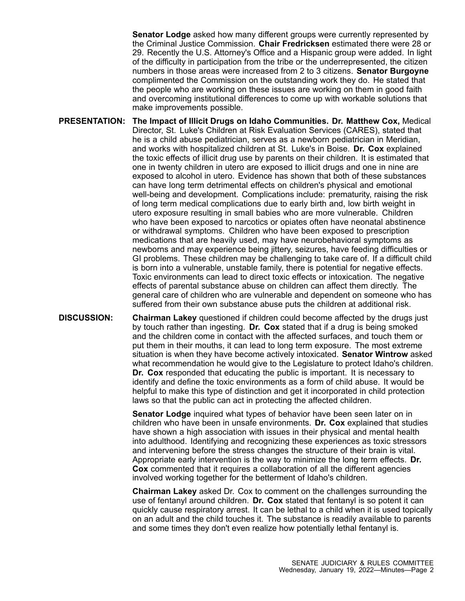**Senator Lodge** asked how many different groups were currently represented by the Criminal Justice Commission. **Chair Fredricksen** estimated there were 28 or 29. Recently the U.S. Attorney's Office and <sup>a</sup> Hispanic group were added. In light of the difficulty in participation from the tribe or the underrepresented, the citizen numbers in those areas were increased from 2 to 3 citizens. **Senator Burgoyne** complimented the Commission on the outstanding work they do. He stated that the people who are working on these issues are working on them in good faith and overcoming institutional differences to come up with workable solutions that make improvements possible.

**PRESENTATION: The Impact of Illicit Drugs on Idaho Communities. Dr. Matthew Cox,** Medical Director, St. Luke's Children at Risk Evaluation Services (CARES), stated that he is <sup>a</sup> child abuse pediatrician, serves as <sup>a</sup> newborn pediatrician in Meridian, and works with hospitalized children at St. Luke's in Boise. **Dr. Cox** explained the toxic effects of illicit drug use by parents on their children. It is estimated that one in twenty children in utero are exposed to illicit drugs and one in nine are exposed to alcohol in utero. Evidence has shown that both of these substances can have long term detrimental effects on children's physical and emotional well-being and development. Complications include: prematurity, raising the risk of long term medical complications due to early birth and, low birth weight in utero exposure resulting in small babies who are more vulnerable. Children who have been exposed to narcotics or opiates often have neonatal abstinence or withdrawal symptoms. Children who have been exposed to prescription medications that are heavily used, may have neurobehavioral symptoms as newborns and may experience being jittery, seizures, have feeding difficulties or GI problems. These children may be challenging to take care of. If <sup>a</sup> difficult child is born into <sup>a</sup> vulnerable, unstable family, there is potential for negative effects. Toxic environments can lead to direct toxic effects or intoxication. The negative effects of parental substance abuse on children can affect them directly. The general care of children who are vulnerable and dependent on someone who has suffered from their own substance abuse puts the children at additional risk.

**DISCUSSION: Chairman Lakey** questioned if children could become affected by the drugs just by touch rather than ingesting. **Dr. Cox** stated that if <sup>a</sup> drug is being smoked and the children come in contact with the affected surfaces, and touch them or put them in their mouths, it can lead to long term exposure. The most extreme situation is when they have become actively intoxicated. **Senator Wintrow** asked what recommendation he would give to the Legislature to protect Idaho's children. **Dr. Cox** responded that educating the public is important. It is necessary to identify and define the toxic environments as <sup>a</sup> form of child abuse. It would be helpful to make this type of distinction and get it incorporated in child protection laws so that the public can act in protecting the affected children.

> **Senator Lodge** inquired what types of behavior have been seen later on in children who have been in unsafe environments. **Dr. Cox** explained that studies have shown <sup>a</sup> high association with issues in their physical and mental health into adulthood. Identifying and recognizing these experiences as toxic stressors and intervening before the stress changes the structure of their brain is vital. Appropriate early intervention is the way to minimize the long term effects. **Dr. Cox** commented that it requires <sup>a</sup> collaboration of all the different agencies involved working together for the betterment of Idaho's children.

**Chairman Lakey** asked Dr. Cox to comment on the challenges surrounding the use of fentanyl around children. **Dr. Cox** stated that fentanyl is so potent it can quickly cause respiratory arrest. It can be lethal to <sup>a</sup> child when it is used topically on an adult and the child touches it. The substance is readily available to parents and some times they don't even realize how potentially lethal fentanyl is.